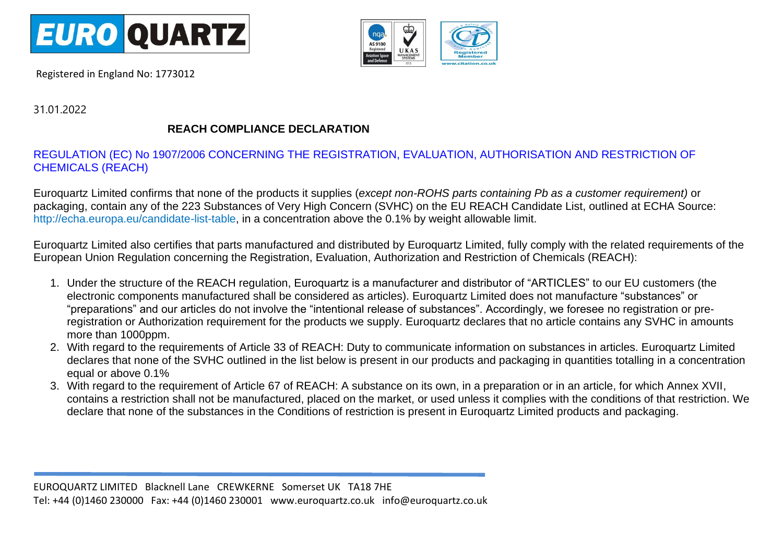

Registered in England No: 1773012



31.01.2022

## **REACH COMPLIANCE DECLARATION**

## REGULATION (EC) No 1907/2006 CONCERNING THE REGISTRATION, EVALUATION, AUTHORISATION AND RESTRICTION OF CHEMICALS (REACH)

Euroquartz Limited confirms that none of the products it supplies (*except non-ROHS parts containing Pb as a customer requirement)* or packaging, contain any of the 223 Substances of Very High Concern (SVHC) on the EU REACH Candidate List, outlined at ECHA Source: http://echa.europa.eu/candidate-list-table, in a concentration above the 0.1% by weight allowable limit.

Euroquartz Limited also certifies that parts manufactured and distributed by Euroquartz Limited, fully comply with the related requirements of the European Union Regulation concerning the Registration, Evaluation, Authorization and Restriction of Chemicals (REACH):

- 1. Under the structure of the REACH regulation, Euroquartz is a manufacturer and distributor of "ARTICLES" to our EU customers (the electronic components manufactured shall be considered as articles). Euroquartz Limited does not manufacture "substances" or "preparations" and our articles do not involve the "intentional release of substances". Accordingly, we foresee no registration or preregistration or Authorization requirement for the products we supply. Euroquartz declares that no article contains any SVHC in amounts more than 1000ppm.
- 2. With regard to the requirements of Article 33 of REACH: Duty to communicate information on substances in articles. Euroquartz Limited declares that none of the SVHC outlined in the list below is present in our products and packaging in quantities totalling in a concentration equal or above 0.1%
- 3. With regard to the requirement of Article 67 of REACH: A substance on its own, in a preparation or in an article, for which Annex XVII, contains a restriction shall not be manufactured, placed on the market, or used unless it complies with the conditions of that restriction. We declare that none of the substances in the Conditions of restriction is present in Euroquartz Limited products and packaging.